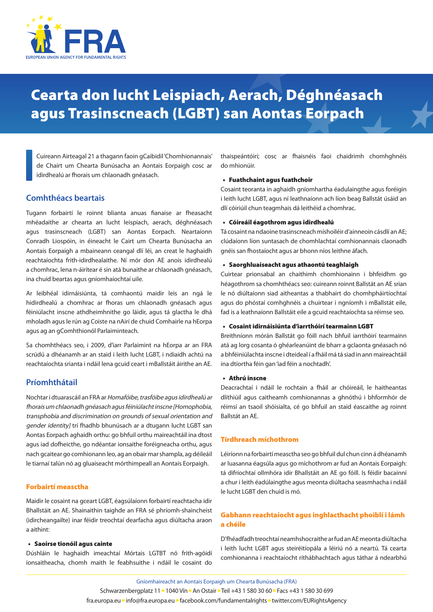

# Cearta don lucht Leispiach, Aerach, Déghnéasach agus Trasinscneach (LGBT) san Aontas Eorpach

Cuireann Airteagal 21 a thagann faoin gCaibidil 'Chomhionannais' de Chairt um Chearta Bunúsacha an Aontais Eorpaigh cosc ar idirdhealú ar fhorais um chlaonadh gnéasach.

# **Comhthéacs beartais**

Tugann forbairtí le roinnt blianta anuas fianaise ar fheasacht mhéadaithe ar chearta an lucht leispiach, aerach, déghnéasach agus trasinscneach (LGBT) san Aontas Eorpach. Neartaíonn Conradh Liospóin, in éineacht le Cairt um Chearta Bunúsacha an Aontais Eorpaigh a mbaineann ceangal dlí léi, an creat le haghaidh reachtaíochta frith‑idirdhealaithe. Ní mór don AE anois idirdhealú a chomhrac, lena n‑áirítear é sin atá bunaithe ar chlaonadh gnéasach, ina chuid beartas agus gníomhaíochtaí uile.

Ar leibhéal idirnáisiúnta, tá comhaontú maidir leis an ngá le hidirdhealú a chomhrac ar fhoras um chlaonadh gnéasach agus féiniúlacht inscne athdheimhnithe go láidir, agus tá glactha le dhá mholadh agus le rún ag Coiste na nAirí de chuid Comhairle na hEorpa agus ag an gComhthionól Parlaiminteach.

Sa chomhthéacs seo, i 2009, d'iarr Parlaimint na hEorpa ar an FRA scrúdú a dhéanamh ar an staid i leith lucht LGBT, i ndiaidh achtú na reachtaíochta srianta i ndáil lena gcuid ceart i mBallstáit áirithe an AE.

# **Príomhthátail**

Nochtar i dtuarascáil an FRA ar Homafóibe, trasfóibe agus idirdhealú ar fhorais um chlaonadh gnéasach agus féiniúlacht inscne [Homophobia, transphobia and discrimination on grounds of sexual orientation and gender identity] trí fhadhb bhunúsach ar a dtugann lucht LGBT san Aontas Eorpach aghaidh orthu: go bhfuil orthu maireachtáil ina dtost agus iad dofheicthe, go ndéantar ionsaithe foréigneacha orthu, agus nach gcaitear go comhionann leo, ag an obair mar shampla, ag déileáil le tiarnaí talún nó ag gluaiseacht mórthimpeall an Aontais Eorpaigh.

#### Forbairtí measctha

Maidir le cosaint na gceart LGBT, éagsúlaíonn forbairtí reachtacha idir Bhallstáit an AE. Shainaithin taighde an FRA sé phríomh‑shaincheist (idircheangailte) inar féidir treochtaí dearfacha agus diúltacha araon a aithint:

#### • Saoirse tionóil agus cainte

Dúshláin le haghaidh imeachtaí Mórtais LGTBT nó frith‑agóidí ionsaitheacha, chomh maith le feabhsuithe i ndáil le cosaint do thaispeántóirí; cosc ar fhaisnéis faoi chaidrimh chomhghnéis do mhionúir.

## • Fuathchaint agus fuathchoir

Cosaint teoranta in aghaidh gníomhartha éadulaingthe agus foréigin i leith lucht LGBT, agus ní leathnaíonn ach líon beag Ballstát úsáid an dlí cóiriúil chun teagmhais dá leithéid a chomhrac.

#### • Cóireáil éagothrom agus idirdhealú

Tá cosaint na ndaoine trasinscneach míshoiléir d'ainneoin cásdlí an AE; clúdaíonn líon suntasach de chomhlachtaí comhionannais claonadh gnéis san fhostaíocht agus ar bhonn níos leithne áfach.

#### • Saorghluaiseacht agus athaontú teaghlaigh

Cuirtear prionsabal an chaithimh chomhionainn i bhfeidhm go héagothrom sa chomhthéacs seo: cuireann roinnt Ballstát an AE srian le nó diúltaíonn siad aitheantas a thabhairt do chomhpháirtíochtaí agus do phóstaí comhghnéis a chuirtear i ngníomh i mBallstát eile, fad is a leathnaíonn Ballstáit eile a gcuid reachtaíochta sa réimse seo.

#### • Cosaint idirnáisiúnta d'iarrthóirí tearmainn LGBT

Breithníonn mórán Ballstát go fóill nach bhfuil iarrthóirí tearmainn atá ag lorg cosanta ó ghéarleanúint de bharr a gclaonta gnéasach nó a bhféiniúlachta inscne i dteideal í a fháil má tá siad in ann maireachtáil ina dtíortha féin gan 'iad féin a nochtadh'.

### • Athrú inscne

Deacrachtaí i ndáil le rochtain a fháil ar chóireáil, le haitheantas dlíthiúil agus caitheamh comhionannas a ghnóthú i bhformhór de réimsí an tsaoil shóisialta, cé go bhfuil an staid éascaithe ag roinnt Ballstát an AE.

#### Tírdhreach míchothrom

Léiríonn na forbairtí measctha seo go bhfuil dul chun cinn á dhéanamh ar luasanna éagsúla agus go míchothrom ar fud an Aontais Eorpaigh: tá difríochtaí ollmhóra idir Bhallstáit an AE go fóill. Is féidir bacainní a chur i leith éadúlaingthe agus meonta diúltacha seasmhacha i ndáil le lucht LGBT den chuid is mó.

## Gabhann reachtaíocht agus inghlacthacht phoiblí i lámh a chéile

D'fhéadfadh treochtaí neamhshocraithe ar fud an AE meonta diúltacha i leith lucht LGBT agus steiréitíopála a léiriú nó a neartú. Tá cearta comhionanna i reachtaíocht ríthábhachtach agus táthar á ndearbhú